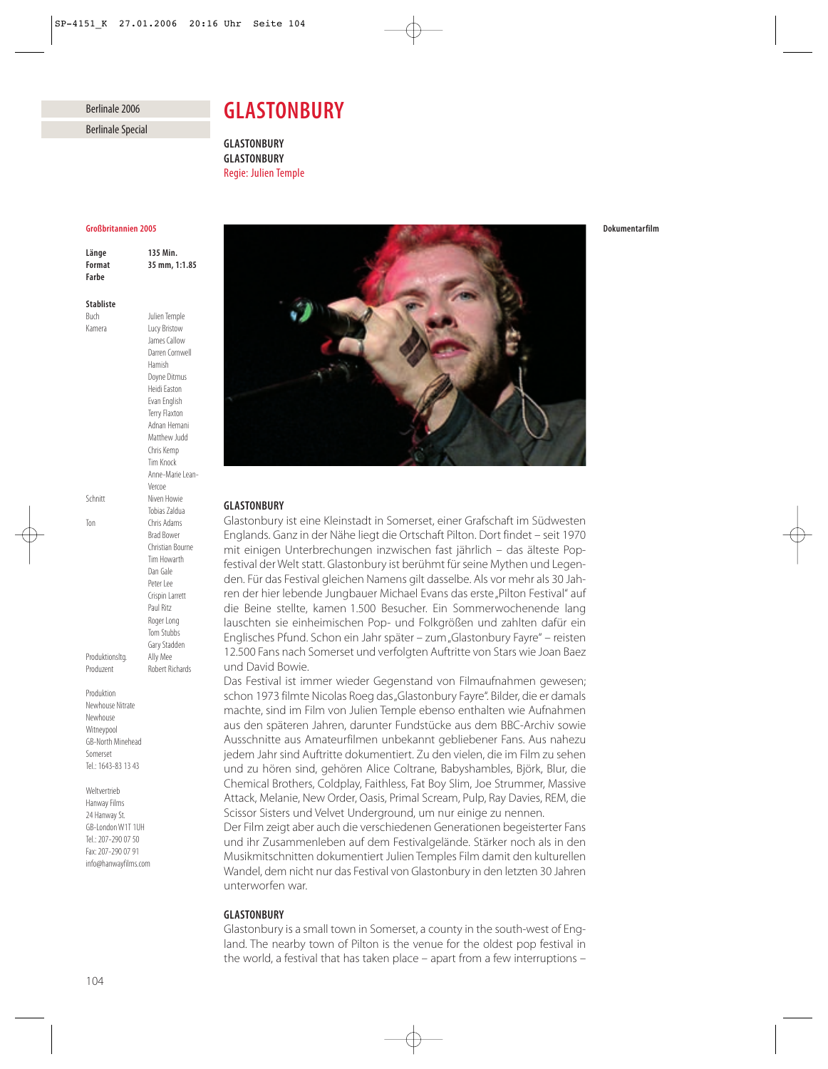# Berlinale 2006

Berlinale Special

# *GLASTONBURY*

*GLASTONBURY GLASTONBURY* Regie: Julien Temple

#### *Großbritannien 2005*

*Länge 135 Min. Format 35 mm, 1:1.85 Farbe*

#### *Stabliste*

Buch Julien Temple

Kamera Lucy Bristow James Callow Darren Cornwell Hamish Doyne Ditmus Heidi Easton Evan English Terry Flaxton Adnan Hemani Matthew Judd Chris Kemp Tim Knock Anne-Marie Lean-Vercoe Schnitt Niven Howie Tobias Zaldua Ton Chris Adams Brad Bower Christian Bourne Tim Howarth Dan Gale Peter Lee Crispin Larrett Paul Ritz Roger Long Tom Stubbs Gary Stadden Produktionsltg. Ally Mee Produzent Robert Richards

Produktion Newhouse Nitrate Newhouse Witneypool GB-North Minehead Somerset Tel.: 1643-83 13 43

Weltvertrieb Hanway Films 24 Hanway St. GB-London W1T 1UH Tel.: 207-290 07 50 Fax: 207-290 07 91 info@hanwayfilms.com



# *GLASTONBURY*

Glastonbury ist eine Kleinstadt in Somerset, einer Grafschaft im Südwesten Englands. Ganz in der Nähe liegt die Ortschaft Pilton. Dort findet – seit 1970 mit einigen Unterbrechungen inzwischen fast jährlich – das älteste Popfestival der Welt statt. Glastonbury ist berühmt für seine Mythen und Legenden. Für das Festival gleichen Namens gilt dasselbe. Als vor mehr als 30 Jahren der hier lebende Jungbauer Michael Evans das erste "Pilton Festival" auf die Beine stellte, kamen 1.500 Besucher. Ein Sommerwochenende lang lauschten sie einheimischen Pop- und Folkgrößen und zahlten dafür ein Englisches Pfund. Schon ein Jahr später – zum "Glastonbury Fayre" – reisten 12.500 Fans nach Somerset und verfolgten Auftritte von Stars wie Joan Baez und David Bowie.

Das Festival ist immer wieder Gegenstand von Filmaufnahmen gewesen; schon 1973 filmte Nicolas Roeg das "Glastonbury Fayre". Bilder, die er damals machte, sind im Film von Julien Temple ebenso enthalten wie Aufnahmen aus den späteren Jahren, darunter Fundstücke aus dem BBC-Archiv sowie Ausschnitte aus Amateurfilmen unbekannt gebliebener Fans. Aus nahezu jedem Jahr sind Auftritte dokumentiert. Zu den vielen, die im Film zu sehen und zu hören sind, gehören Alice Coltrane, Babyshambles, Björk, Blur, die Chemical Brothers, Coldplay, Faithless, Fat Boy Slim, Joe Strummer, Massive Attack, Melanie, New Order, Oasis, Primal Scream, Pulp, Ray Davies, REM, die Scissor Sisters und Velvet Underground, um nur einige zu nennen.

Der Film zeigt aber auch die verschiedenen Generationen begeisterter Fans und ihr Zusammenleben auf dem Festivalgelände. Stärker noch als in den Musikmitschnitten dokumentiert Julien Temples Film damit den kulturellen Wandel, dem nicht nur das Festival von Glastonbury in den letzten 30 Jahren unterworfen war.

## *GLASTONBURY*

Glastonbury is a small town in Somerset, a county in the south-west of England. The nearby town of Pilton is the venue for the oldest pop festival in the world, a festival that has taken place – apart from a few interruptions –